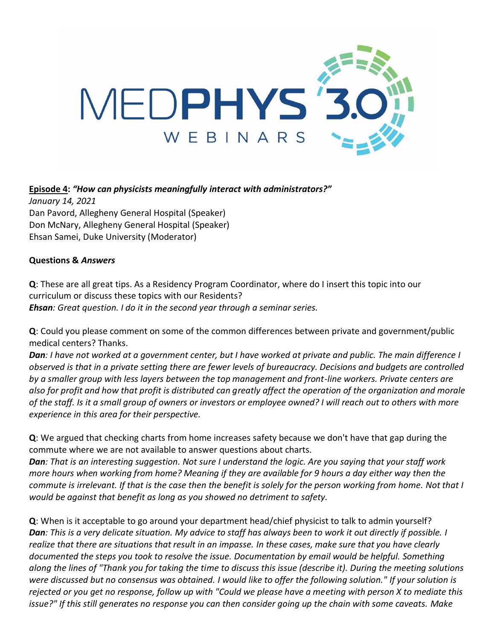

## **Episode 4:** *"How can physicists meaningfully interact with administrators?"*

*January 14, 2021* Dan Pavord, Allegheny General Hospital (Speaker) Don McNary, Allegheny General Hospital (Speaker) Ehsan Samei, Duke University (Moderator)

## **Questions &** *Answers*

**Q**: These are all great tips. As a Residency Program Coordinator, where do I insert this topic into our curriculum or discuss these topics with our Residents? *Ehsan: Great question. I do it in the second year through a seminar series.*

**Q**: Could you please comment on some of the common differences between private and government/public medical centers? Thanks.

*Dan: I have not worked at a government center, but I have worked at private and public. The main difference I observed is that in a private setting there are fewer levels of bureaucracy. Decisions and budgets are controlled by a smaller group with less layers between the top management and front-line workers. Private centers are also for profit and how that profit is distributed can greatly affect the operation of the organization and morale of the staff. Is it a small group of owners or investors or employee owned? I will reach out to others with more experience in this area for their perspective.*

**Q**: We argued that checking charts from home increases safety because we don't have that gap during the commute where we are not available to answer questions about charts.

*Dan: That is an interesting suggestion. Not sure I understand the logic. Are you saying that your staff work more hours when working from home? Meaning if they are available for 9 hours a day either way then the commute is irrelevant. If that is the case then the benefit is solely for the person working from home. Not that I would be against that benefit as long as you showed no detriment to safety.*

**Q**: When is it acceptable to go around your department head/chief physicist to talk to admin yourself? *Dan: This is a very delicate situation. My advice to staff has always been to work it out directly if possible. I realize that there are situations that result in an impasse. In these cases, make sure that you have clearly documented the steps you took to resolve the issue. Documentation by email would be helpful. Something along the lines of "Thank you for taking the time to discuss this issue (describe it). During the meeting solutions were discussed but no consensus was obtained. I would like to offer the following solution." If your solution is rejected or you get no response, follow up with "Could we please have a meeting with person X to mediate this issue?" If this still generates no response you can then consider going up the chain with some caveats. Make*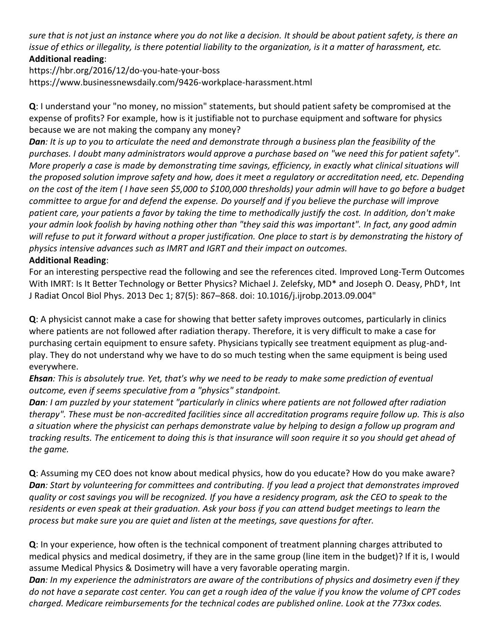*sure that is not just an instance where you do not like a decision. It should be about patient safety, is there an issue of ethics or illegality, is there potential liability to the organization, is it a matter of harassment, etc.* **Additional reading**:

https://hbr.org/2016/12/do-you-hate-your-boss https://www.businessnewsdaily.com/9426-workplace-harassment.html

**Q**: I understand your "no money, no mission" statements, but should patient safety be compromised at the expense of profits? For example, how is it justifiable not to purchase equipment and software for physics because we are not making the company any money?

*Dan: It is up to you to articulate the need and demonstrate through a business plan the feasibility of the purchases. I doubt many administrators would approve a purchase based on "we need this for patient safety". More properly a case is made by demonstrating time savings, efficiency, in exactly what clinical situations will the proposed solution improve safety and how, does it meet a regulatory or accreditation need, etc. Depending on the cost of the item ( I have seen \$5,000 to \$100,000 thresholds) your admin will have to go before a budget committee to argue for and defend the expense. Do yourself and if you believe the purchase will improve patient care, your patients a favor by taking the time to methodically justify the cost. In addition, don't make your admin look foolish by having nothing other than "they said this was important". In fact, any good admin will refuse to put it forward without a proper justification. One place to start is by demonstrating the history of physics intensive advances such as IMRT and IGRT and their impact on outcomes.*

## **Additional Reading**:

For an interesting perspective read the following and see the references cited. Improved Long-Term Outcomes With IMRT: Is It Better Technology or Better Physics? Michael J. Zelefsky, MD\* and Joseph O. Deasy, PhD†, Int J Radiat Oncol Biol Phys. 2013 Dec 1; 87(5): 867–868. doi: 10.1016/j.ijrobp.2013.09.004"

**Q**: A physicist cannot make a case for showing that better safety improves outcomes, particularly in clinics where patients are not followed after radiation therapy. Therefore, it is very difficult to make a case for purchasing certain equipment to ensure safety. Physicians typically see treatment equipment as plug-andplay. They do not understand why we have to do so much testing when the same equipment is being used everywhere.

*Ehsan: This is absolutely true. Yet, that's why we need to be ready to make some prediction of eventual outcome, even if seems speculative from a "physics" standpoint.*

*Dan: I am puzzled by your statement "particularly in clinics where patients are not followed after radiation therapy". These must be non-accredited facilities since all accreditation programs require follow up. This is also a situation where the physicist can perhaps demonstrate value by helping to design a follow up program and tracking results. The enticement to doing this is that insurance will soon require it so you should get ahead of the game.*

**Q**: Assuming my CEO does not know about medical physics, how do you educate? How do you make aware? *Dan: Start by volunteering for committees and contributing. If you lead a project that demonstrates improved quality or cost savings you will be recognized. If you have a residency program, ask the CEO to speak to the residents or even speak at their graduation. Ask your boss if you can attend budget meetings to learn the process but make sure you are quiet and listen at the meetings, save questions for after.*

**Q**: In your experience, how often is the technical component of treatment planning charges attributed to medical physics and medical dosimetry, if they are in the same group (line item in the budget)? If it is, I would assume Medical Physics & Dosimetry will have a very favorable operating margin.

*Dan: In my experience the administrators are aware of the contributions of physics and dosimetry even if they do not have a separate cost center. You can get a rough idea of the value if you know the volume of CPT codes charged. Medicare reimbursements for the technical codes are published online. Look at the 773xx codes.*